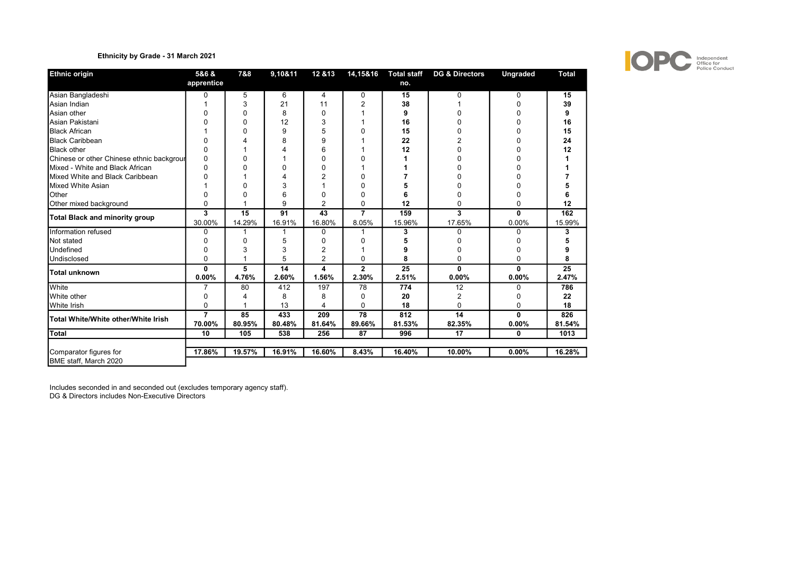# Ethnicity by Grade - 31 March 2021

| <b>Ethnic origin</b>                      | 5&6 &<br>apprentice | 7&8        | 9,10&11     | 12 & 13        | 14,15&16              | <b>Total staff</b><br>no. | <b>DG &amp; Directors</b> | <b>Ungraded</b> | <b>Total</b> |
|-------------------------------------------|---------------------|------------|-------------|----------------|-----------------------|---------------------------|---------------------------|-----------------|--------------|
| Asian Bangladeshi                         | 0                   | 5          | 6           | 4              | 0                     | 15                        | 0                         | 0               | 15           |
| Asian Indian                              |                     | 3          | 21          | 11             | 2                     | 38                        |                           |                 | 39           |
| Asian other                               |                     | 0          | 8           | $\mathbf 0$    |                       | 9                         |                           |                 | 9            |
| Asian Pakistani                           |                     | 0          | 12          | 3              |                       | 16                        |                           |                 | 16           |
| <b>Black African</b>                      |                     | 0          | 9           | 5              | 0                     | 15                        |                           |                 | 15           |
| <b>Black Caribbean</b>                    | O                   | 4          | 8           | 9              |                       | 22                        |                           |                 | 24           |
| <b>Black other</b>                        | 0                   |            |             | 6              |                       | 12                        |                           | n               | 12           |
| Chinese or other Chinese ethnic backgrour | 0                   | 0          |             | $\Omega$       | ŋ                     |                           |                           |                 |              |
| Mixed - White and Black African           | O                   | ŋ          | O           | $\mathbf 0$    |                       |                           |                           |                 |              |
| Mixed White and Black Caribbean           |                     |            |             | 2              | O                     |                           |                           |                 |              |
| Mixed White Asian                         |                     | U          | 3           |                | O                     | 5                         |                           |                 |              |
| Other                                     | 0                   | O          | 6           | 0              | 0                     | 6                         |                           | O               |              |
| Other mixed background                    | $\Omega$            |            | 9           | 2              | $\Omega$              | 12                        | 0                         | 0               | 12           |
| Total Black and minority group            | 3                   | 15         | 91          | 43             | $\overline{7}$        | 159                       | 3                         | 0               | 162          |
|                                           | 30.00%              | 14.29%     | 16.91%      | 16.80%         | 8.05%                 | 15.96%                    | 17.65%                    | 0.00%           | 15.99%       |
| Information refused                       | 0                   |            |             | $\Omega$       |                       | 3                         | ი                         | ŋ               | 3            |
| <b>I</b> Not stated                       | ი                   | 0          | 5           | 0              | 0                     | 5                         |                           |                 |              |
| Undefined                                 | 0                   | 3          | 3           | $\overline{2}$ |                       | 9                         |                           | ŋ               |              |
| Undisclosed                               | 0                   |            | 5           | $\overline{2}$ | $\Omega$              | 8                         | 0                         | 0               | 8            |
| Total unknown                             | 0<br>0.00%          | 5<br>4.76% | 14<br>2.60% | 4<br>1.56%     | $\mathbf{2}$<br>2.30% | 25<br>2.51%               | 0<br>0.00%                | 0<br>0.00%      | 25<br>2.47%  |
| White                                     |                     | 80         | 412         | 197            | 78                    | 774                       | 12                        | 0               | 786          |
| <b>I</b> White other                      | 0                   | 4          | 8           | 8              | 0                     | 20                        | 2                         | 0               | 22           |
| <b>White Irish</b>                        | 0                   |            | 13          | $\overline{4}$ | $\Omega$              | 18                        | $\Omega$                  | $\Omega$        | 18           |
|                                           | 7                   | 85         | 433         | 209            | 78                    | 812                       | 14                        | $\mathbf{0}$    | 826          |
| Total White/White other/White Irish       | 70.00%              | 80.95%     | 80.48%      | 81.64%         | 89.66%                | 81.53%                    | 82.35%                    | 0.00%           | 81.54%       |
| Total                                     | 10                  | 105        | 538         | 256            | 87                    | 996                       | 17                        | $\mathbf{0}$    | 1013         |
| Comparator figures for                    | 17.86%              | 19.57%     | 16.91%      | 16.60%         | 8.43%                 | 16.40%                    | 10.00%                    | $0.00\%$        | 16.28%       |
| BME staff, March 2020                     |                     |            |             |                |                       |                           |                           |                 |              |

Includes seconded in and seconded out (excludes temporary agency staff). DG & Directors includes Non-Executive Directors

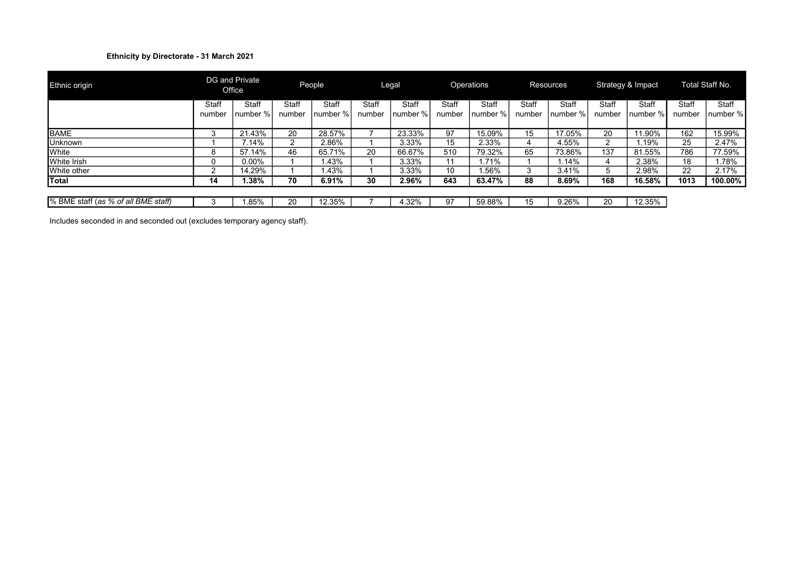# Ethnicity by Directorate - 31 March 2021

| Ethnic origin                       |                 | DG and Private<br>Office |                 | People            |                 | Legal              |                 | Operations         |                        | <b>Resources</b>    |                 | Strategy & Impact |                 | Total Staff No.   |
|-------------------------------------|-----------------|--------------------------|-----------------|-------------------|-----------------|--------------------|-----------------|--------------------|------------------------|---------------------|-----------------|-------------------|-----------------|-------------------|
|                                     | Staff<br>number | Staff<br>number %        | Staff<br>number | Staff<br>number % | Staff<br>number | Staff<br>Inumber % | Staff<br>number | Staff<br>Inumber % | <b>Staff</b><br>number | Staff<br>Inumber %. | Staff<br>number | Staff<br>number % | Staff<br>number | Staff<br>number % |
| <b>BAME</b>                         | 3               | 21.43%                   | 20              | 28.57%            |                 | 23.33%             | 97              | 15.09%             | 15                     | 17.05%              | 20              | 11.90%            | 162             | 15.99%            |
| <b>Unknown</b>                      |                 | 7.14%                    | ◠               | 2.86%             |                 | 3.33%              | 15              | 2.33%              |                        | 4.55%               |                 | .19%              | 25              | 2.47%             |
| White                               | 8               | 57.14%                   | 46              | 65.71%            | 20              | 66.67%             | 510             | 79.32%             | 65                     | 73.86%              | 137             | 81.55%            | 786             | 77.59%            |
| White Irish                         | 0               | $0.00\%$                 |                 | .43%              |                 | 3.33%              | 11              | $.71\%$            |                        | .14%                | 4               | 2.38%             | 18              | 1.78%             |
| White other                         |                 | 14.29%                   |                 | .43%              |                 | 3.33%              | 10              | .56%               | 3                      | 3.41%               | 5               | 2.98%             | 22              | 2.17%             |
| Total                               | 14              | 1.38%                    | 70              | 6.91%             | 30              | 2.96%              | 643             | 63.47%             | 88                     | 8.69%               | 168             | 16.58%            | 1013            | 100.00%           |
|                                     |                 |                          |                 |                   |                 |                    |                 |                    |                        |                     |                 |                   |                 |                   |
| % BME staff (as % of all BME staff) |                 | .85%                     | 20              | 12.35%            |                 | 4.32%              | 97              | 59.88%             | 15                     | 9.26%               | 20              | 12.35%            |                 |                   |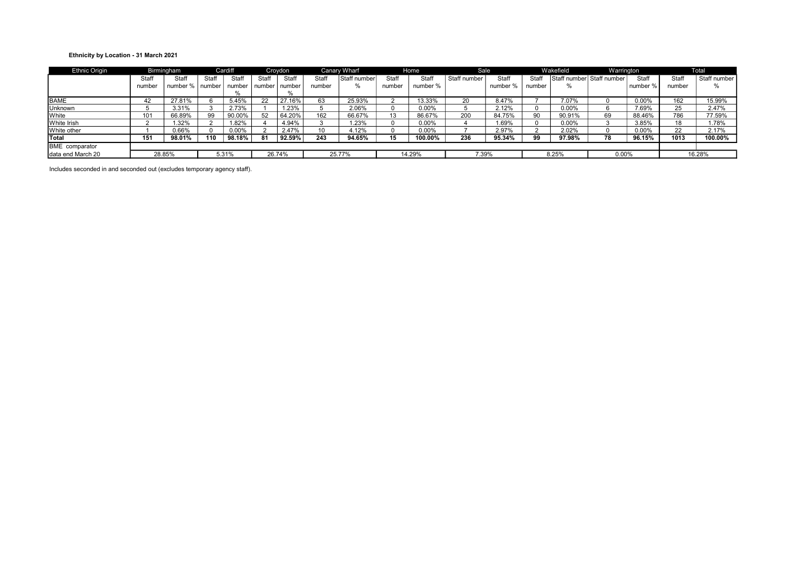### Ethnicity by Location - 31 March 2021

| <b>Ethnic Origin</b> |        | Birmingham |          | Cardiff |          | Croydon |                 | Canary Wharf |              | Home     | <b>Sale</b>  |          |        | Wakefield                 | Warrington |          |        | Total        |
|----------------------|--------|------------|----------|---------|----------|---------|-----------------|--------------|--------------|----------|--------------|----------|--------|---------------------------|------------|----------|--------|--------------|
|                      | Staff  | Staff      | Staff    | Staff   | Staff    | Staff   | Staff           | Staff number | <b>Staff</b> | Staff    | Staff number | Staff    | Staff  | Staff number Staff number |            | Staff    | Staff  | Staff number |
|                      | number | number %   | l number | number  | i number | number  | number          |              | number       | number % |              | number % | number | $\%$                      |            | number % | number | $\%$         |
|                      |        |            |          |         |          | %       |                 |              |              |          |              |          |        |                           |            |          |        |              |
| <b>BAME</b>          | 42     | 27.81%     |          | 5.45%   |          | 27.16%  | 63              | 25.93%       |              | 13.33%   | 20           | 8.47%    |        | 7.07%                     |            | 0.00%    | 162    | 15.99%       |
| Unknown              |        | 3.31%      |          | 2.73%   |          | 1.23%   |                 | 2.06%        |              | 0.00%    |              | 2.12%    |        | 0.00%                     |            | 7.69%    | 25     | 2.47%        |
| <b>White</b>         | 101    | 66.89%     | 99       | 90.00%  | 52       | 64.20%  | 162             | 66.67%       | 13           | 86.67%   | 200          | 84.75%   | 90     | 90.91%                    | 69         | 88.46%   | 786    | 77.59%       |
| <b>White Irish</b>   |        | $1.32\%$   |          | 1.82%   |          | 4.94%   |                 | 1.23%        |              | $0.00\%$ |              | 1.69%    |        | $0.00\%$                  |            | 3.85%    | 18     | 1.78%        |
| White other          |        | 0.66%      |          | 0.00%   |          | 2.47%   | 10 <sup>1</sup> | 4.12%        |              | 0.00%    |              | 2.97%    |        | 2.02%                     |            | 0.00%    | 22     | 2.17%        |
| <b>Total</b>         | 151    | 98.01%     | 110      | 98.18%  | 81       | 92.59%  | 243             | 94.65%       | 15           | 100.00%  | 236          | 95.34%   | 99     | 97.98%                    | 78         | 96.15%   | 1013   | 100.00%      |
| BME comparator       |        |            |          |         |          |         |                 |              |              |          |              |          |        |                           |            |          |        |              |
| Idata end March 20   |        | 28.85%     |          | 5.31%   |          | 26.74%  |                 | 25.77%       |              | 14.29%   |              | 7.39%    |        | 8.25%                     | $0.00\%$   |          |        | 16.28%       |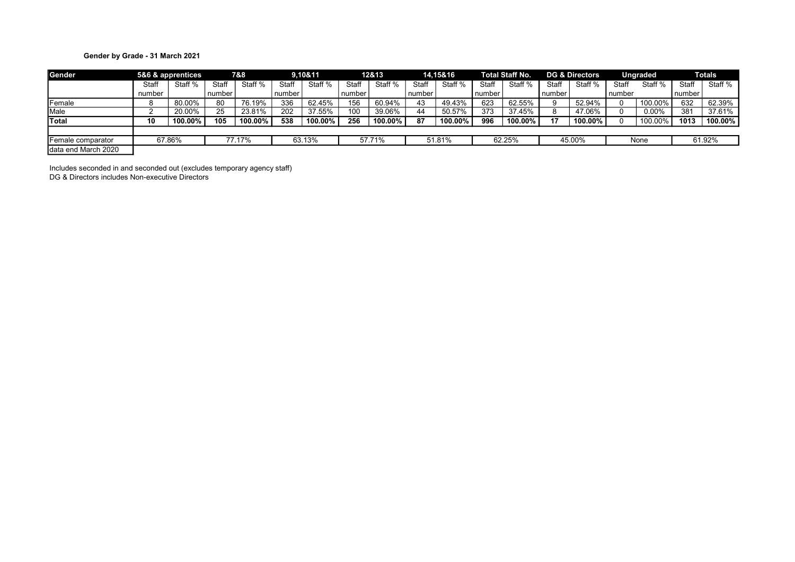# Gender by Grade - 31 March 2021

| Gender              |        | 5&6 & apprentices |        | 7&8     |        | 9,10&11 |        | 12&13   |        | 14,15&16 |        | <b>Total Staff No.</b> |          | <b>DG &amp; Directors</b> |          | <b>Ungraded</b> |          | <b>Totals</b> |
|---------------------|--------|-------------------|--------|---------|--------|---------|--------|---------|--------|----------|--------|------------------------|----------|---------------------------|----------|-----------------|----------|---------------|
|                     | Staff  | Staff %           | Staff  | Staff % | Staff  | Staff % | Staff  | Staff % | Staff  | Staff %  | Staff  | Staff %                | Staff    | Staff %                   | Staff    | Staff %         | Staff    | Staff %       |
|                     | number |                   | number |         | number |         | number |         | number |          | number |                        | l number |                           | l number |                 | number i |               |
| Female              |        | 80.00%            | 80     | 76.19%  | 336    | 62.45%  | 156    | 60.94%  | 43     | 49.43%   | 623    | 62.55%                 |          | 52.94%                    |          | 100.00%         | 632      | 62.39%        |
| Male                |        | 20.00%            | 25     | 23.81%  | 202    | 37.55%  | 100    | 39.06%  | 44     | 50.57%   | 373    | 37.45%                 |          | 47.06%                    |          | $0.00\%$        | 381      | 37.61%        |
| Total               | 10     | 100.00%           | 105    | 100.00% | 538    | 100.00% | 256    | 100.00% | 87     | 100.00%  | 996    | 100.00%                | 17       | 100.00%                   |          | 100.00%         | 1013     | 100.00%       |
|                     |        |                   |        |         |        |         |        |         |        |          |        |                        |          |                           |          |                 |          |               |
| Female comparator   |        | 67.86%            |        | 77.17%  |        | 63.13%  |        | 57.71%  |        | 51.81%   |        | 62.25%                 |          | 45.00%                    |          | None            |          | 61.92%        |
| data end March 2020 |        |                   |        |         |        |         |        |         |        |          |        |                        |          |                           |          |                 |          |               |

Includes seconded in and seconded out (excludes temporary agency staff) DG & Directors includes Non-executive Directors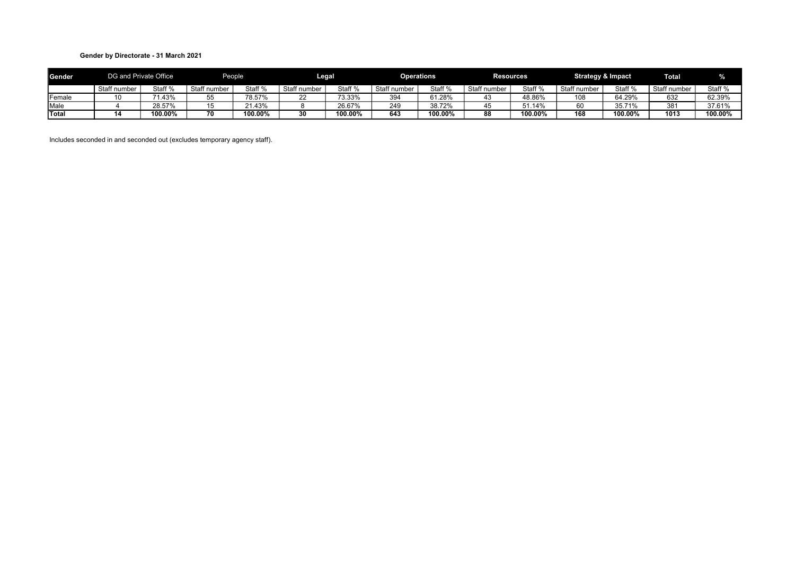### Gender by Directorate - 31 March 2021

| Gender       |              | DG and Private Office |                    | People  |              | egal-   |             | <b>Operations</b> | <b>Resources</b> |         | <b>Strategy &amp; Impact</b> |         | <b>Total</b> |                    |
|--------------|--------------|-----------------------|--------------------|---------|--------------|---------|-------------|-------------------|------------------|---------|------------------------------|---------|--------------|--------------------|
|              | Staff number | Staff %               | Staff<br>r number. | Staff % | Staff number | Staff % | Staff numbe | Staff %           | Staff number     | Staff % | Staff number                 | Staff % | Staff number | Staff <sub>%</sub> |
| Female       |              | 1.43%                 | ັບ                 | 78.57%  | <u>__</u>    | 73.33%  | 394         | 61.28%            | 43.              | 48.86%  | 108                          | 64.29%  | 632          | 62.39%             |
| Male         |              | 28.57%                |                    | 1.43%   |              | 26.67%  | 249         | 38.72%            |                  | 110/    | 60                           | 35.71%  | 381          | 37.61%             |
| <b>Total</b> |              | 100.00%               |                    | 100.00% |              | 100.00% | 643         | 100.00%           | 88               | 100.00% | 168                          | 100.00% | 1013         | 100.00%            |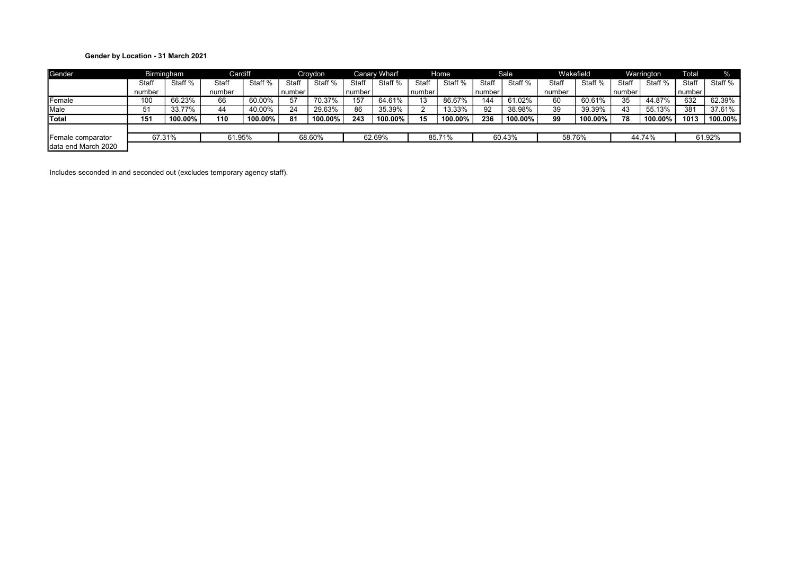# Gender by Location - 31 March 2021

| Gender              |        | Birmingham | Cardiff |         |          | Croydon |              | <b>Canary Wharf</b> |          | Home    |          | <b>Sale</b> |        | Wakefield |        | Warrington | Total  | $\%$    |
|---------------------|--------|------------|---------|---------|----------|---------|--------------|---------------------|----------|---------|----------|-------------|--------|-----------|--------|------------|--------|---------|
|                     | Staff  | Staff %    | Staff   | Staff % | Staff    | Staff % | <b>Staff</b> | Staff %             | Staff    | Staff % | Staff    | Staff %     | Staff  | Staff %   | Staff  | Staff %    | Staff  | Staff % |
|                     | number |            | number  |         | l number |         | number       |                     | l number |         | l number |             | number |           | number |            | number |         |
| Female              | 100    | 66.23%     | 66      | 60.00%  | 57       | 70.37%  | 157          | 64.61%              | 13       | 86.67%  | 144      | 61.02%      | 60     | 60.61%    | 35     | 44.87%     | 632    | 62.39%  |
| Male                | 51     | 33.77%     | 44      | 40.00%  | 24       | 29.63%  | 86           | 35.39%              |          | 13.33%  | 92       | 38.98%      | 39     | 39.39%    | 43     | 55.13%     | 381    | 37.61%  |
| Total               | 151    | 100.00%    | 110     | 100.00% | 81       | 100.00% | 243          | 100.00%             | 15       | 100.00% | 236      | 100.00%     | 99     | 100.00%   | 78     | 100.00%    | 1013   | 100.00% |
|                     |        |            |         |         |          |         |              |                     |          |         |          |             |        |           |        |            |        |         |
| Female comparator   | 67.31% |            | 61.95%  |         |          | 68.60%  |              | 62.69%              |          | 85.71%  |          | 60.43%      | 58.76% |           |        | 44.74%     |        | 61.92%  |
| data end March 2020 |        |            |         |         |          |         |              |                     |          |         |          |             |        |           |        |            |        |         |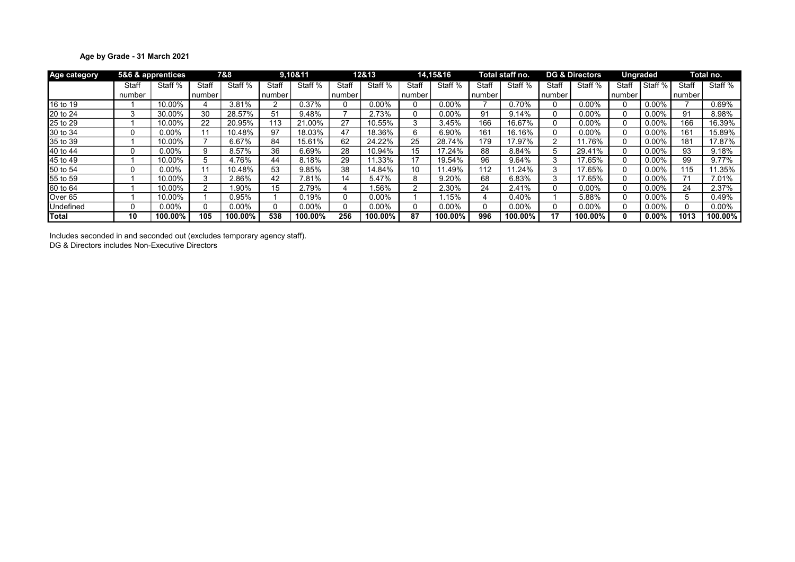# Age by Grade - 31 March 2021

| Age category |        | 5&6 & apprentices |        | 7&8      |        | 9.10&11  |        | 12&13   |        | 14.15&16 |        | Total staff no. |        | <b>DG &amp; Directors</b> | <b>Ungraded</b> |          |        | Total no. |
|--------------|--------|-------------------|--------|----------|--------|----------|--------|---------|--------|----------|--------|-----------------|--------|---------------------------|-----------------|----------|--------|-----------|
|              | Staff  | Staff %           | Staff  | Staff %  | Staff  | Staff %  | Staff  | Staff % | Staff  | Staff %  | Staff  | Staff %         | Staff  | Staff %                   | Staff           | Staff %  | Staff  | Staff %   |
|              | number |                   | number |          | number |          | number |         | number |          | number |                 | number |                           | number          |          | number |           |
| 16 to 19     |        | 10.00%            |        | 3.81%    |        | 0.37%    |        | 0.00%   |        | $0.00\%$ |        | 0.70%           |        | $0.00\%$                  | U               | $0.00\%$ |        | 0.69%     |
| 20 to 24     | 3      | 30.00%            | 30     | 28.57%   | 51     | 9.48%    |        | 2.73%   |        | $0.00\%$ | 91     | 9.14%           |        | $0.00\%$                  | 0               | $0.00\%$ | 91     | 8.98%     |
| 25 to 29     |        | 10.00%            | 22     | 20.95%   | 113    | 21.00%   | 27     | 10.55%  |        | 3.45%    | 166    | 16.67%          |        | 0.00%                     | 0               | $0.00\%$ | 166    | 16.39%    |
| 30 to 34     | 0      | $0.00\%$          |        | 10.48%   | 97     | 18.03%   | 47     | 18.36%  | h      | 6.90%    | 161    | 16.16%          |        | 0.00%                     | 0               | 0.00%    | 161    | 15.89%    |
| 35 to 39     |        | 10.00%            |        | 6.67%    | 84     | 15.61%   | 62     | 24.22%  | 25     | 28.74%   | 179    | 17.97%          |        | .76%                      | 0               | $0.00\%$ | 181    | 17.87%    |
| 40 to 44     | U      | $0.00\%$          | я      | 8.57%    | 36     | 6.69%    | 28     | 10.94%  | 15     | 17.24%   | 88     | 8.84%           | 5      | 29.41%                    | $\Omega$        | $0.00\%$ | 93     | 9.18%     |
| 45 to 49     |        | 10.00%            |        | 4.76%    | 44     | 8.18%    | 29     | 1.33%   | 17     | 19.54%   | 96     | 9.64%           |        | 17.65%                    | 0               | $0.00\%$ | 99     | 9.77%     |
| 50 to 54     | 0      | $0.00\%$          |        | 10.48%   | 53     | 9.85%    | 38     | 14.84%  | 10     | .49%     | 112    | 11.24%          |        | 17.65%                    | $\Omega$        | $0.00\%$ | 15     | 1.35%     |
| 55 to 59     |        | 10.00%            |        | 2.86%    | 42     | 7.81%    | 14     | 5.47%   |        | 9.20%    | 68     | 6.83%           |        | 17.65%                    | 0               | $0.00\%$ |        | 7.01%     |
| 60 to 64     |        | 10.00%            |        | .90%     | 15     | 2.79%    | 4      | .56%    |        | 2.30%    | 24     | 2.41%           |        | $0.00\%$                  | 0               | $0.00\%$ | 24     | 2.37%     |
| Over 65      |        | 10.00%            |        | 0.95%    |        | 0.19%    |        | 0.00%   |        | .15%     |        | 0.40%           |        | 5.88%                     | 0               | $0.00\%$ |        | ).49%     |
| Undefined    | 0      | $0.00\%$          |        | $0.00\%$ |        | $0.00\%$ |        | 0.00%   |        | 0.00%    |        | $0.00\%$        |        | 0.00%                     | 0               | $0.00\%$ |        | 0.00%     |
| Total        | 10     | 100.00%           | 105    | 100.00%  | 538    | 100.00%  | 256    | 100.00% | 87     | 100.00%  | 996    | 100.00%         | 17     | 100.00%                   | 0               | $0.00\%$ | 1013   | 100.00%   |

Includes seconded in and seconded out (excludes temporary agency staff).

DG & Directors includes Non-Executive Directors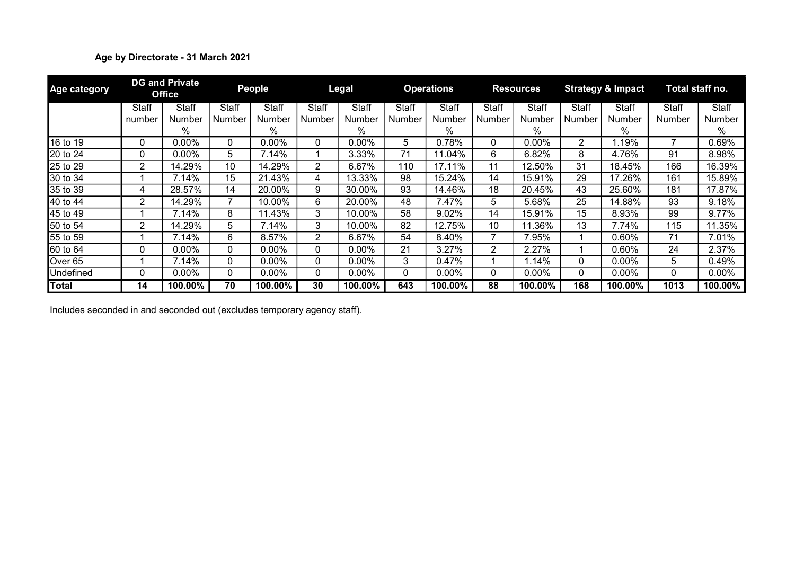# Age by Directorate - 31 March 2021

| <b>Age category</b> |        | <b>DG and Private</b><br><b>Office</b> |              | <b>People</b> |                | Legal    |        | <b>Operations</b> |        | <b>Resources</b> |        | <b>Strategy &amp; Impact</b> |        | Total staff no. |
|---------------------|--------|----------------------------------------|--------------|---------------|----------------|----------|--------|-------------------|--------|------------------|--------|------------------------------|--------|-----------------|
|                     | Staff  | Staff                                  | Staff        | Staff         | Staff          | Staff    | Staff  | Staff             | Staff  | Staff            | Staff  | Staff                        | Staff  | <b>Staff</b>    |
|                     | number | Number                                 | Number       | Number        | Number         | Number   | Number | Number            | Number | Number           | Number | Number                       | Number | Number          |
|                     |        | $\%$                                   |              | %             |                | %        |        | %                 |        | %                |        | $\%$                         |        | %               |
| 16 to 19            | 0      | 0.00%                                  | 0            | $0.00\%$      | 0              | $0.00\%$ | 5      | 0.78%             | 0      | $0.00\%$         | 2      | 1.19%                        |        | 0.69%           |
| 20 to 24            | 0      | $0.00\%$                               | 5            | 7.14%         |                | 3.33%    | 71     | 11.04%            | 6      | 6.82%            | 8      | 4.76%                        | 91     | 8.98%           |
| 25 to 29            | 2      | 14.29%                                 | 10           | 14.29%        | $\overline{2}$ | 6.67%    | 110    | 17.11%            | 11     | 12.50%           | 31     | 18.45%                       | 166    | 16.39%          |
| 30 to 34            |        | 7.14%                                  | 15           | 21.43%        | 4              | 13.33%   | 98     | 15.24%            | 14     | 15.91%           | 29     | 7.26%                        | 161    | 15.89%          |
| 35 to 39            | 4      | 28.57%                                 | 14           | 20.00%        | 9              | 30.00%   | 93     | 14.46%            | 18     | 20.45%           | 43     | 25.60%                       | 181    | 17.87%          |
| 40 to 44            | 2      | 14.29%                                 |              | 10.00%        | 6              | 20.00%   | 48     | 7.47%             | 5.     | 5.68%            | 25     | 14.88%                       | 93     | 9.18%           |
| 45 to 49            |        | 7.14%                                  | 8            | 11.43%        | 3.             | 10.00%   | 58     | 9.02%             | 14     | 15.91%           | 15     | 8.93%                        | 99     | 9.77%           |
| 50 to 54            | 2      | 14.29%                                 | 5            | 7.14%         | 3              | 10.00%   | 82     | 12.75%            | 10     | 11.36%           | 13     | 7.74%                        | 115    | 11.35%          |
| 55 to 59            |        | 7.14%                                  | 6            | 8.57%         | 2              | 6.67%    | 54     | 8.40%             |        | 7.95%            |        | 0.60%                        | 71     | 7.01%           |
| 60 to 64            | 0      | $0.00\%$                               | $\mathbf{0}$ | $0.00\%$      | 0              | $0.00\%$ | 21     | 3.27%             | 2      | 2.27%            |        | 0.60%                        | 24     | 2.37%           |
| Over 65             |        | 7.14%                                  | $\mathbf{0}$ | $0.00\%$      | 0              | $0.00\%$ | 3      | 0.47%             |        | 1.14%            | 0      | 0.00%                        | 5      | 0.49%           |
| Undefined           | 0      | $0.00\%$                               | $\mathbf{0}$ | $0.00\%$      | 0              | $0.00\%$ | 0      | $0.00\%$          | 0      | 0.00%            | 0      | 0.00%                        | 0      | $0.00\%$        |
| <b>Total</b>        | 14     | 100.00%                                | 70           | 100.00%       | 30             | 100.00%  | 643    | 100.00%           | 88     | $100.00\%$       | 168    | 100.00%                      | 1013   | 100.00%         |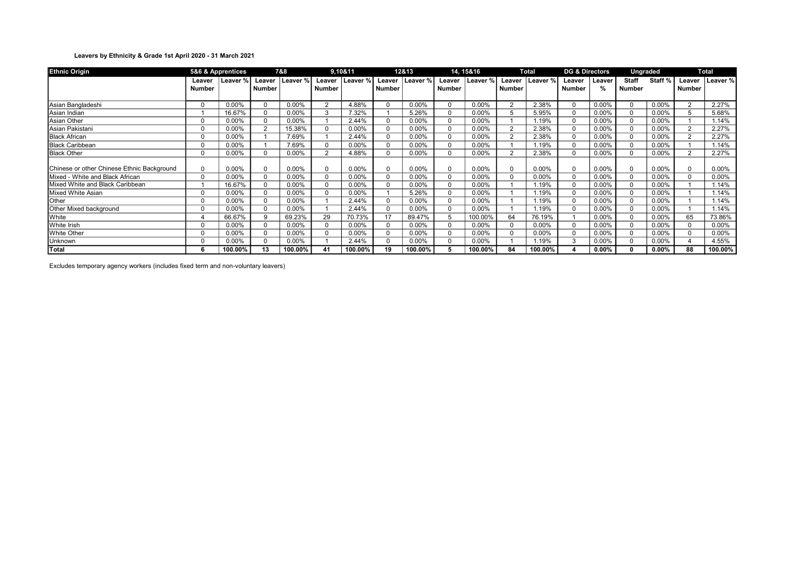### Leavers by Ethnicity & Grade 1st April 2020 - 31 March 2021

| <b>Ethnic Origin</b>                       |               | 5&6 & Apprentices |                | 7&8      |                | 9,10&11  |              | 12&13    |               | 14, 15&16 |                | Total    | <b>DG &amp; Directors</b> |          | <b>Ungraded</b> |                    |                | <b>Total</b>      |
|--------------------------------------------|---------------|-------------------|----------------|----------|----------------|----------|--------------|----------|---------------|-----------|----------------|----------|---------------------------|----------|-----------------|--------------------|----------------|-------------------|
|                                            | Leaver        | Leaver %          | Leaver         | Leaver % | Leaver         | Leaver % | Leaver       | Leaver % | Leaver        | Leaver %  | Leaver         | Leaver % | Leaver                    | Leaver   | <b>Staff</b>    | Staff <sub>%</sub> |                | Leaver   Leaver % |
|                                            | <b>Number</b> |                   | Number         |          | <b>Number</b>  |          | Number       |          | <b>Number</b> |           | <b>Number</b>  |          | <b>Number</b>             | %        | <b>Number</b>   |                    | <b>Number</b>  |                   |
|                                            |               |                   |                |          |                |          |              |          |               |           |                |          |                           |          |                 |                    |                |                   |
| Asian Bangladeshi                          |               | 0.00%             | $\Omega$       | 0.00%    | $\overline{2}$ | 4.88%    |              | 0.00%    |               | 0.00%     | $\overline{2}$ | 2.38%    | $\Omega$                  | 0.00%    | $\Omega$        | 0.00%              | $\overline{2}$ | 2.27%             |
| Asian Indian                               |               | 16.67%            | $\Omega$       | 0.00%    | 3              | 7.32%    |              | 5.26%    |               | 0.00%     | 5              | 5.95%    | $\Omega$                  | 0.00%    | $\Omega$        | 0.00%              |                | 5.68%             |
| Asian Other                                |               | 0.00%             | $\Omega$       | 0.00%    |                | 2.44%    |              | $0.00\%$ |               | $0.00\%$  |                | 1.19%    | $\Omega$                  | 0.00%    | $\Omega$        | 0.00%              |                | 1.14%             |
| Asian Pakistani                            | $\Omega$      | 0.00%             | $\overline{2}$ | 15.38%   | 0              | 0.00%    | 0            | $0.00\%$ |               | 0.00%     | $\overline{2}$ | 2.38%    | 0                         | 0.00%    | $\Omega$        | 0.00%              | $\overline{2}$ | 2.27%             |
| <b>Black African</b>                       |               | 0.00%             |                | 7.69%    |                | 2.44%    |              | $0.00\%$ |               | 0.00%     | $\overline{2}$ | 2.38%    | $\Omega$                  | 0.00%    | $\Omega$        | 0.00%              | $\overline{2}$ | 2.27%             |
| <b>Black Caribbean</b>                     | $\Omega$      | 0.00%             |                | 7.69%    | $\Omega$       | 0.00%    | <sup>n</sup> | $0.00\%$ |               | $0.00\%$  |                | 1.19%    | $\Omega$                  | 0.00%    | $\Omega$        | 0.00%              |                | 1.14%             |
| <b>Black Other</b>                         |               | $0.00\%$          | $\Omega$       | 0.00%    | 2              | 4.88%    |              | $0.00\%$ |               | $0.00\%$  | $\overline{2}$ | 2.38%    | $\Omega$                  | 0.00%    | $\Omega$        | 0.00%              | $\overline{2}$ | 2.27%             |
|                                            |               |                   |                |          |                |          |              |          |               |           |                |          |                           |          |                 |                    |                |                   |
| Chinese or other Chinese Ethnic Background |               | 0.00%             | $\Omega$       | 0.00%    | $\mathbf 0$    | 0.00%    | 0            | 0.00%    |               | $0.00\%$  | $\mathbf 0$    | 0.00%    | 0                         | 0.00%    | $\mathbf 0$     | 0.00%              |                | 0.00%             |
| <b>IMixed - White and Black African</b>    | $\mathbf{0}$  | 0.00%             | $\Omega$       | $0.00\%$ | 0              | 0.00%    | 0            | $0.00\%$ |               | $0.00\%$  | $\Omega$       | 0.00%    | $\Omega$                  | 0.00%    | $\Omega$        | $0.00\%$           |                | 0.00%             |
| Mixed White and Black Caribbean            |               | 16.67%            | $\Omega$       | 0.00%    | $\Omega$       | 0.00%    | 0            | $0.00\%$ |               | 0.00%     |                | 1.19%    | $\Omega$                  | 0.00%    | $\Omega$        | 0.00%              |                | 1.14%             |
| Mixed White Asian                          | $\Omega$      | 0.00%             | $\Omega$       | 0.00%    | $\Omega$       | 0.00%    |              | 5.26%    |               | 0.00%     |                | 1.19%    | $\Omega$                  | 0.00%    | $\Omega$        | $0.00\%$           |                | 1.14%             |
| Other                                      |               | 0.00%             |                | 0.00%    |                | 2.44%    |              | $0.00\%$ |               | $0.00\%$  |                | 1.19%    | $\Omega$                  | 0.00%    | $\Omega$        | 0.00%              |                | 1.14%             |
| Other Mixed background                     |               | 0.00%             | $\Omega$       | $0.00\%$ |                | 2.44%    |              | $0.00\%$ |               | $0.00\%$  |                | 1.19%    | 0                         | 0.00%    | $\Omega$        | 0.00%              |                | 1.14%             |
| <b>White</b>                               |               | 66.67%            | $\mathbf{Q}$   | 69.23%   | 29             | 70.73%   | 17           | 89.47%   |               | 100.00%   | 64             | 76.19%   |                           | 0.00%    | $\Omega$        | 0.00%              | 65             | 73.86%            |
| White Irish                                |               | 0.00%             |                | 0.00%    | $\Omega$       | 0.00%    |              | $0.00\%$ |               | 0.00%     | $\Omega$       | 0.00%    | $\Omega$                  | 0.00%    | $\Omega$        | 0.00%              |                | 0.00%             |
| White Other                                |               | 0.00%             |                | 0.00%    | 0              | 0.00%    |              | $0.00\%$ |               | 0.00%     | $\Omega$       | 0.00%    | $\Omega$                  | 0.00%    | $\Omega$        | 0.00%              |                | 0.00%             |
| Unknown                                    |               | 0.00%             |                | 0.00%    |                | 2.44%    |              | 0.00%    |               | 0.00%     |                | 1.19%    |                           | 0.00%    | $\Omega$        | 0.00%              |                | 4.55%             |
| Total                                      |               | 100.00%           | 13             | 100.00%  | 41             | 100.00%  | 19           | 100.00%  |               | 100.00%   | 84             | 100.00%  |                           | $0.00\%$ |                 | $0.00\%$           | 88             | 100.00%           |

Excludes temporary agency workers (includes fixed term and non-voluntary leavers)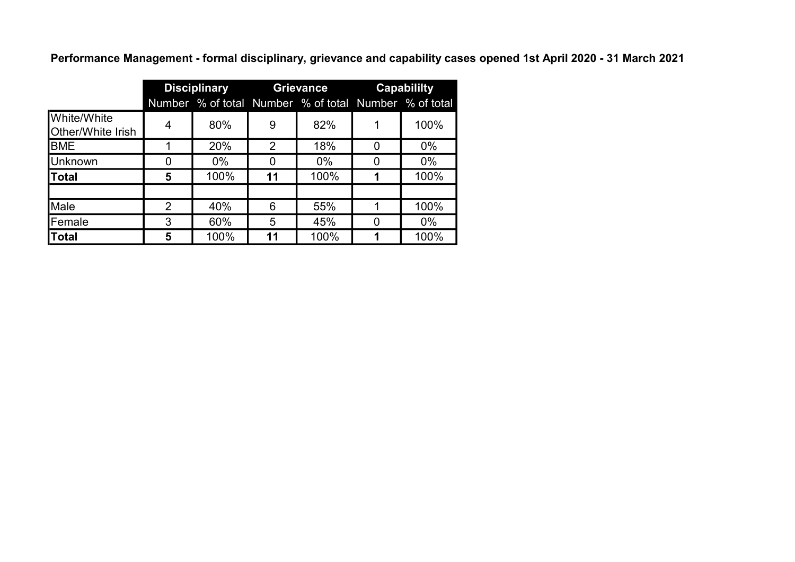Performance Management - formal disciplinary, grievance and capability cases opened 1st April 2020 - 31 March 2021

|                                  |   | <b>Disciplinary</b> |    | <b>Grievance</b>                                      |   | Capabililty |
|----------------------------------|---|---------------------|----|-------------------------------------------------------|---|-------------|
|                                  |   |                     |    | Number % of total Number % of total Number % of total |   |             |
| White/White<br>Other/White Irish | 4 | 80%                 | 9  | 82%                                                   |   | 100%        |
| <b>BME</b>                       |   | 20%                 | 2  | 18%                                                   | O | $0\%$       |
| <b>Unknown</b>                   |   | $0\%$               |    | $0\%$                                                 |   | $0\%$       |
| <b>Total</b>                     | 5 | 100%                | 11 | 100%                                                  |   | 100%        |
|                                  |   |                     |    |                                                       |   |             |
| Male                             | 2 | 40%                 | 6  | 55%                                                   |   | 100%        |
| Female                           | 3 | 60%                 | 5  | 45%                                                   |   | $0\%$       |
| Total                            | 5 | 100%                | 11 | 100%                                                  |   | 100%        |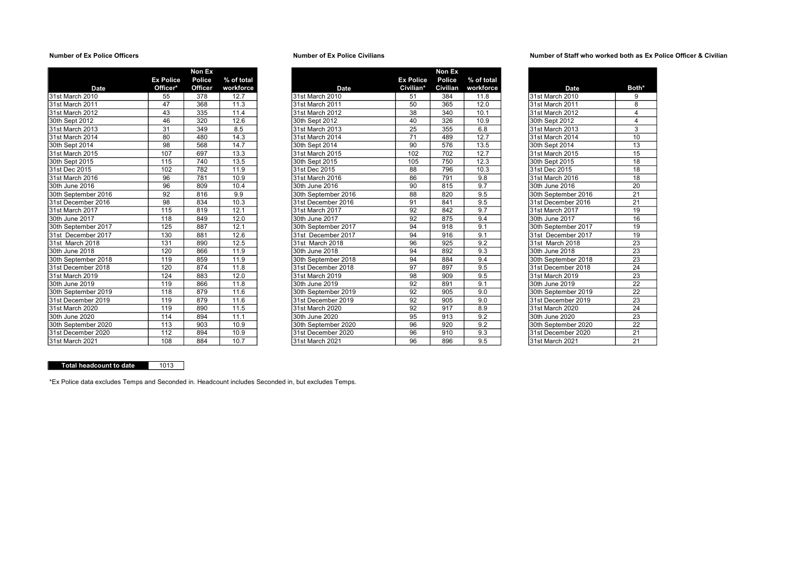|                     |                  | Non Ex  |            |
|---------------------|------------------|---------|------------|
|                     | <b>Ex Police</b> | Police  | % of total |
| <b>Date</b>         | Officer*         | Officer | workforce  |
| 31st March 2010     | 55               | 378     | 12.7       |
| 31st March 2011     | 47               | 368     | 11.3       |
| 31st March 2012     | 43               | 335     | 11.4       |
| 30th Sept 2012      | 46               | 320     | 12.6       |
| 31st March 2013     | 31               | 349     | 8.5        |
| 31st March 2014     | 80               | 480     | 14.3       |
| 30th Sept 2014      | 98               | 568     | 14.7       |
| 31st March 2015     | 107              | 697     | 13.3       |
| 30th Sept 2015      | 115              | 740     | 13.5       |
| 31st Dec 2015       | 102              | 782     | 11.9       |
| 31st March 2016     | 96               | 781     | 10.9       |
| 30th June 2016      | 96               | 809     | 10.4       |
| 30th September 2016 | 92               | 816     | 9.9        |
| 31st December 2016  | 98               | 834     | 10.3       |
| 31st March 2017     | 115              | 819     | 12.1       |
| 30th June 2017      | 118              | 849     | 12.0       |
| 30th September 2017 | 125              | 887     | 12.1       |
| 31st December 2017  | 130              | 881     | 12.6       |
| 31st March 2018     | 131              | 890     | 12.5       |
| 30th June 2018      | 120              | 866     | 11.9       |
| 30th September 2018 | 119              | 859     | 11.9       |
| 31st December 2018  | 120              | 874     | 11.8       |
| 31st March 2019     | 124              | 883     | 12.0       |
| 30th June 2019      | 119              | 866     | 11.8       |
| 30th September 2019 | 118              | 879     | 11.6       |
| 31st December 2019  | 119              | 879     | 11.6       |
| 31st March 2020     | 119              | 890     | 11.5       |
| 30th June 2020      | 114              | 894     | 11.1       |
| 30th September 2020 | 113              | 903     | 10.9       |
| 31st December 2020  | 112              | 894     | 10.9       |
| 31st March 2021     | 108              | 884     | 10.7       |

### Number of Ex Police Officers Number of Ex Police Civilians

|                     |                  | Non Ex         |            |                     |                  | Non Ex   |            |                     |                 |
|---------------------|------------------|----------------|------------|---------------------|------------------|----------|------------|---------------------|-----------------|
|                     | <b>Ex Police</b> | Police         | % of total |                     | <b>Ex Police</b> | Police   | % of total |                     |                 |
| <b>Date</b>         | Officer*         | <b>Officer</b> | workforce  | Date                | Civilian*        | Civilian | workforce  | <b>Date</b>         | <b>Both</b>     |
| 31st March 2010     | 55               | 378            | 12.7       | 31st March 2010     | 51               | 384      | 11.8       | 31st March 2010     | 9               |
| 31st March 2011     | 47               | 368            | 11.3       | 31st March 2011     | 50               | 365      | 12.0       | 31st March 2011     | 8               |
| 31st March 2012     | 43               | 335            | 11.4       | 31st March 2012     | 38               | 340      | 10.1       | 31st March 2012     | 4               |
| 30th Sept 2012      | 46               | 320            | 12.6       | 30th Sept 2012      | 40               | 326      | 10.9       | 30th Sept 2012      | $\overline{4}$  |
| 31st March 2013     | 31               | 349            | 8.5        | 31st March 2013     | $\overline{25}$  | 355      | 6.8        | 31st March 2013     | $\overline{3}$  |
| 31st March 2014     | 80               | 480            | 14.3       | 31st March 2014     | 71               | 489      | 12.7       | 31st March 2014     | 10              |
| 30th Sept 2014      | 98               | 568            | 14.7       | 30th Sept 2014      | 90               | 576      | 13.5       | 30th Sept 2014      | 13              |
| 31st March 2015     | 107              | 697            | 13.3       | 31st March 2015     | 102              | 702      | 12.7       | 31st March 2015     | 15              |
| 30th Sept 2015      | 115              | 740            | 13.5       | 30th Sept 2015      | 105              | 750      | 12.3       | 30th Sept 2015      | 18              |
| 31st Dec 2015       | 102              | 782            | 11.9       | 31st Dec 2015       | 88               | 796      | 10.3       | 31st Dec 2015       | 18              |
| 31st March 2016     | 96               | 781            | 10.9       | 31st March 2016     | 86               | 791      | 9.8        | 31st March 2016     | 18              |
| 30th June 2016      | 96               | 809            | 10.4       | 30th June 2016      | 90               | 815      | 9.7        | 30th June 2016      | 20              |
| 30th September 2016 | 92               | 816            | 9.9        | 30th September 2016 | 88               | 820      | 9.5        | 30th September 2016 | 21              |
| 31st December 2016  | 98               | 834            | 10.3       | 31st December 2016  | 91               | 841      | 9.5        | 31st December 2016  | 21              |
| 31st March 2017     | 115              | 819            | 12.1       | 31st March 2017     | 92               | 842      | 9.7        | 31st March 2017     | 19              |
| 30th June 2017      | 118              | 849            | 12.0       | 30th June 2017      | 92               | 875      | 9.4        | 30th June 2017      | 16              |
| 30th September 2017 | 125              | 887            | 12.1       | 30th September 2017 | 94               | 918      | 9.1        | 30th September 2017 | 19              |
| 31st December 2017  | 130              | 881            | 12.6       | 31st December 2017  | 94               | 916      | 9.1        | 31st December 2017  | 19              |
| 31st March 2018     | 131              | 890            | 12.5       | 31st March 2018     | 96               | 925      | 9.2        | 31st March 2018     | 23              |
| 30th June 2018      | 120              | 866            | 11.9       | 30th June 2018      | 94               | 892      | 9.3        | 30th June 2018      | $\overline{23}$ |
| 30th September 2018 | 119              | 859            | 11.9       | 30th September 2018 | 94               | 884      | 9.4        | 30th September 2018 | 23              |
| 31st December 2018  | 120              | 874            | 11.8       | 31st December 2018  | 97               | 897      | 9.5        | 31st December 2018  | 24              |
| 31st March 2019     | 124              | 883            | 12.0       | 31st March 2019     | 98               | 909      | 9.5        | 31st March 2019     | $\overline{23}$ |
| 30th June 2019      | 119              | 866            | 11.8       | 30th June 2019      | $\overline{92}$  | 891      | 9.1        | 30th June 2019      | 22              |
| 30th September 2019 | 118              | 879            | 11.6       | 30th September 2019 | 92               | 905      | 9.0        | 30th September 2019 | 22              |
| 31st December 2019  | 119              | 879            | 11.6       | 31st December 2019  | 92               | 905      | 9.0        | 31st December 2019  | 23              |
| 31st March 2020     | 119              | 890            | 11.5       | 31st March 2020     | 92               | 917      | 8.9        | 31st March 2020     | 24              |
| 30th June 2020      | 114              | 894            | 11.1       | 30th June 2020      | 95               | 913      | 9.2        | 30th June 2020      | 23              |
| 30th September 2020 | 113              | 903            | 10.9       | 30th September 2020 | 96               | 920      | 9.2        | 30th September 2020 | $\overline{22}$ |
| 31st December 2020  | 112              | 894            | 10.9       | 31st December 2020  | 96               | 910      | 9.3        | 31st December 2020  | 21              |
| 31st March 2021     | 108              | 884            | 10.7       | 31st March 2021     | 96               | 896      | 9.5        | 31st March 2021     | 21              |

### Number of Staff who worked both as Ex Police Officer & Civilian

| workforce<br>Date          | Both* |
|----------------------------|-------|
|                            |       |
| 31st March 2010<br>11.8    | 9     |
| 12.0<br>31st March 2011    | 8     |
| 10.1<br>31st March 2012    | 4     |
| 30th Sept 2012<br>10.9     | 4     |
| 6.8<br>31st March 2013     | 3     |
| 12.7<br>31st March 2014    | 10    |
| 13.5<br>30th Sept 2014     | 13    |
| 12.7<br>31st March 2015    | 15    |
| 12.3<br>30th Sept 2015     | 18    |
| 10.3<br>31st Dec 2015      | 18    |
| 31st March 2016<br>9.8     | 18    |
| 9.7<br>30th June 2016      | 20    |
| 9.5<br>30th September 2016 | 21    |
| 9.5<br>31st December 2016  | 21    |
| 9.7<br>31st March 2017     | 19    |
| 9.4<br>30th June 2017      | 16    |
| 9.1<br>30th September 2017 | 19    |
| 9.1<br>31st December 2017  | 19    |
| 9.2<br>31st March 2018     | 23    |
| 9.3<br>30th June 2018      | 23    |
| 9.4<br>30th September 2018 | 23    |
| 9.5<br>31st December 2018  | 24    |
| 9.5<br>31st March 2019     | 23    |
| 9.1<br>30th June 2019      | 22    |
| 9.0<br>30th September 2019 | 22    |
| 9.0<br>31st December 2019  | 23    |
| 8.9<br>31st March 2020     | 24    |
| 9.2<br>30th June 2020      | 23    |
| 9.2<br>30th September 2020 | 22    |
| 9.3<br>31st December 2020  | 21    |
| 9.5<br>31st March 2021     | 21    |

## Total headcount to date 1013

\*Ex Police data excludes Temps and Seconded in. Headcount includes Seconded in, but excludes Temps.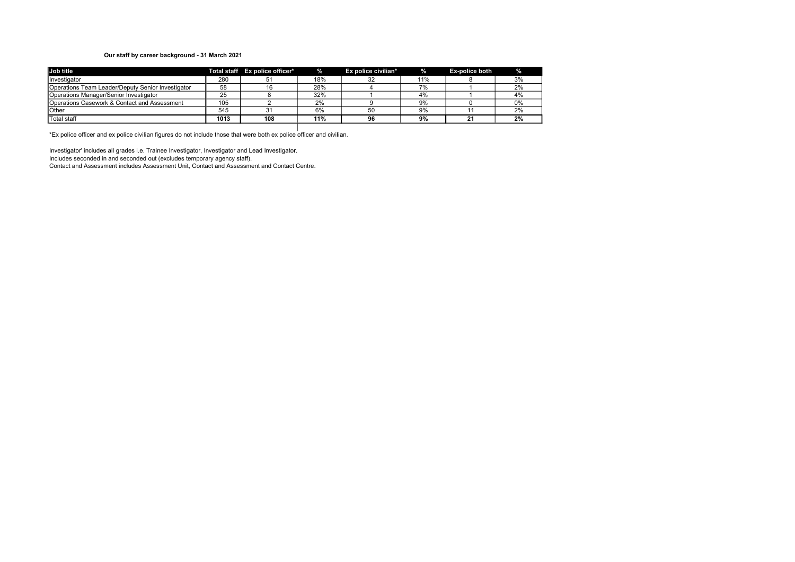### Our staff by career background - 31 March 2021

| Job title                                         |      | Total staff Ex police officer* | %.  | Ex police civilian* | $\frac{9}{6}$ | <b>Ex-police both</b> | ℅  |
|---------------------------------------------------|------|--------------------------------|-----|---------------------|---------------|-----------------------|----|
| <b>Ilnvestigator</b>                              | 280  |                                | 18% |                     | 11%           |                       | 3% |
| Operations Team Leader/Deputy Senior Investigator | 58   |                                | 28% |                     |               |                       | 2% |
| <b>I</b> Operations Manager/Senior Investigator   | 25   |                                | 32% |                     | 4%            |                       | 4% |
| Operations Casework & Contact and Assessment      | 105  |                                | 2%  |                     | 9%            |                       | 0% |
| <b>I</b> Other                                    | 545  |                                | 6%  | 50                  | 9%            |                       | 2% |
| Total staff                                       | 1013 | 108                            | 11% | 96                  | 9%            | 21                    | 2% |

\*Ex police officer and ex police civilian figures do not include those that were both ex police officer and civilian.

Investigator' includes all grades i.e. Trainee Investigator, Investigator and Lead Investigator. Includes seconded in and seconded out (excludes temporary agency staff). Contact and Assessment includes Assessment Unit, Contact and Assessment and Contact Centre.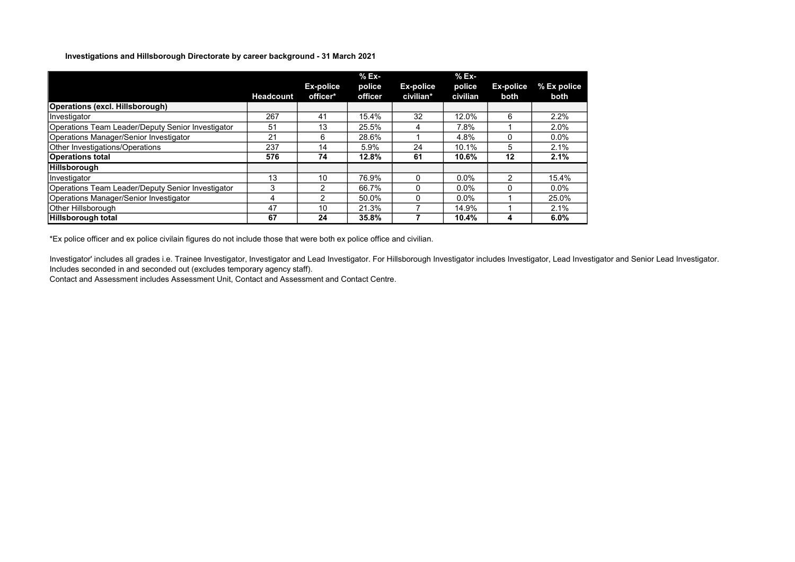### Investigations and Hillsborough Directorate by career background - 31 March 2021

|                                                   |                  |               | $%Ex-$  |           | % Ex-    |               |             |
|---------------------------------------------------|------------------|---------------|---------|-----------|----------|---------------|-------------|
|                                                   |                  | Ex-police     | police  | Ex-police | police   | Ex-police     | % Ex police |
|                                                   | <b>Headcount</b> | officer*      | officer | civilian* | civilian | both          | both        |
| <b>Operations (excl. Hillsborough)</b>            |                  |               |         |           |          |               |             |
| Investigator                                      | 267              | 41            | 15.4%   | 32        | 12.0%    | 6             | 2.2%        |
| Operations Team Leader/Deputy Senior Investigator | 51               | 13            | 25.5%   |           | 7.8%     |               | 2.0%        |
| Operations Manager/Senior Investigator            | 21               | 6             | 28.6%   |           | 4.8%     |               | $0.0\%$     |
| Other Investigations/Operations                   | 237              | 14            | 5.9%    | 24        | 10.1%    | 5             | 2.1%        |
| <b>Operations total</b>                           | 576              | 74            | 12.8%   | 61        | 10.6%    | 12            | 2.1%        |
| Hillsborough                                      |                  |               |         |           |          |               |             |
| Investigator                                      | 13               | 10            | 76.9%   | $\Omega$  | $0.0\%$  | $\mathcal{P}$ | 15.4%       |
| Operations Team Leader/Deputy Senior Investigator | 3                | 2             | 66.7%   |           | $0.0\%$  |               | $0.0\%$     |
| Operations Manager/Senior Investigator            | 4                | $\mathcal{P}$ | 50.0%   |           | $0.0\%$  |               | 25.0%       |
| Other Hillsborough                                | 47               | 10            | 21.3%   |           | 14.9%    |               | 2.1%        |
| Hillsborough total                                | 67               | 24            | 35.8%   |           | 10.4%    | 4             | 6.0%        |

\*Ex police officer and ex police civilain figures do not include those that were both ex police office and civilian.

Investigator' includes all grades i.e. Trainee Investigator, Investigator and Lead Investigator. For Hillsborough Investigator includes Investigator, Lead Investigator and Senior Lead Investigator. Includes seconded in and seconded out (excludes temporary agency staff).

Contact and Assessment includes Assessment Unit, Contact and Assessment and Contact Centre.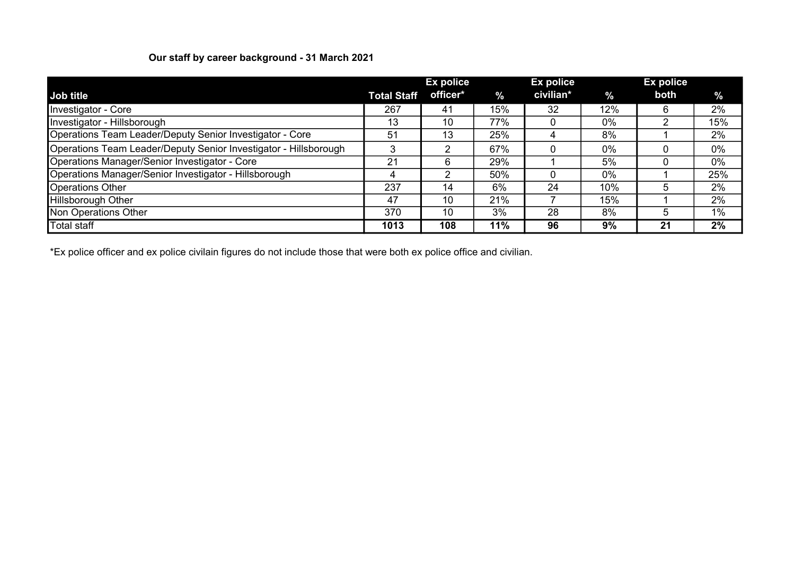# Our staff by career background - 31 March 2021

|                                                                  |                    | Ex police |               | Ex police |       | <b>Ex police</b> |               |
|------------------------------------------------------------------|--------------------|-----------|---------------|-----------|-------|------------------|---------------|
| Job title                                                        | <b>Total Staff</b> | officer*  | $\frac{9}{6}$ | civilian* | $\%$  | both             | $\frac{9}{6}$ |
| Investigator - Core                                              | 267                | 41        | 15%           | 32        | 12%   | 6                | 2%            |
| Investigator - Hillsborough                                      | 13                 | 10        | 77%           |           | $0\%$ |                  | 15%           |
| Operations Team Leader/Deputy Senior Investigator - Core         | 51                 | 13        | 25%           |           | 8%    |                  | 2%            |
| Operations Team Leader/Deputy Senior Investigator - Hillsborough | З                  | ⌒         | 67%           |           | 0%    |                  | 0%            |
| Operations Manager/Senior Investigator - Core                    | 21                 |           | 29%           |           | 5%    |                  | $0\%$         |
| Operations Manager/Senior Investigator - Hillsborough            | 4                  |           | 50%           |           | $0\%$ |                  | 25%           |
| <b>Operations Other</b>                                          | 237                | 14        | 6%            | 24        | 10%   | 5                | 2%            |
| <b>Hillsborough Other</b>                                        | 47                 | 10        | 21%           |           | 15%   |                  | 2%            |
| Non Operations Other                                             | 370                | 10        | 3%            | 28        | 8%    | 5                | 1%            |
| <b>Total staff</b>                                               | 1013               | 108       | 11%           | 96        | 9%    | 21               | 2%            |

\*Ex police officer and ex police civilain figures do not include those that were both ex police office and civilian.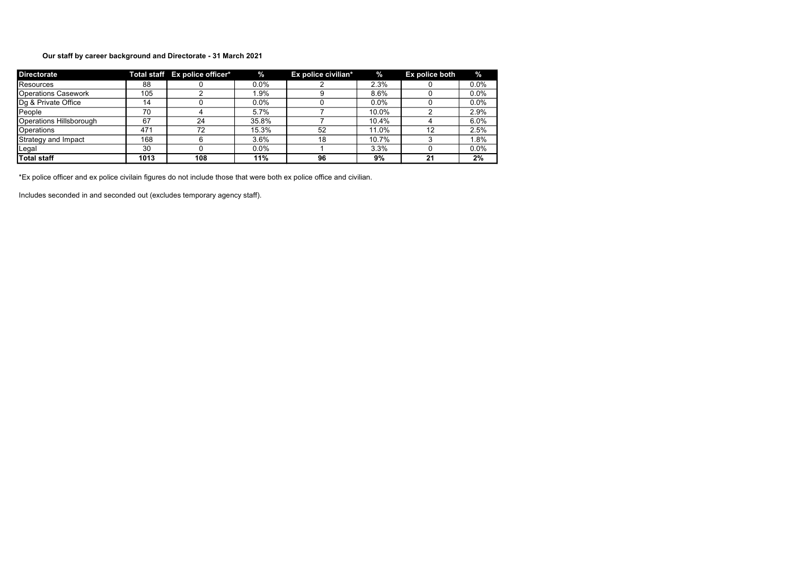# Our staff by career background and Directorate - 31 March 2021

| <b>Directorate</b>         |      | Total staff Ex police officer* | $\%$    | Ex police civilian* | $\%$    | Ex police both | $\%$    |
|----------------------------|------|--------------------------------|---------|---------------------|---------|----------------|---------|
| Resources                  | 88   |                                | 0.0%    |                     | 2.3%    |                | 0.0%    |
| <b>Operations Casework</b> | 105  |                                | 1.9%    |                     | 8.6%    |                | 0.0%    |
| Dg & Private Office        | 14   |                                | $0.0\%$ |                     | $0.0\%$ |                | 0.0%    |
| People                     | 70   |                                | 5.7%    |                     | 10.0%   |                | 2.9%    |
| Operations Hillsborough    | 67   | 24                             | 35.8%   |                     | 10.4%   |                | 6.0%    |
| Operations                 | 471  | 72                             | 15.3%   | 52                  | 11.0%   | 12             | 2.5%    |
| Strategy and Impact        | 168  |                                | 3.6%    | 18                  | 10.7%   |                | 1.8%    |
| Legal                      | 30   |                                | $0.0\%$ |                     | 3.3%    |                | $0.0\%$ |
| <b>Total staff</b>         | 1013 | 108                            | 11%     | 96                  | 9%      | 21             | 2%      |

\*Ex police officer and ex police civilain figures do not include those that were both ex police office and civilian.